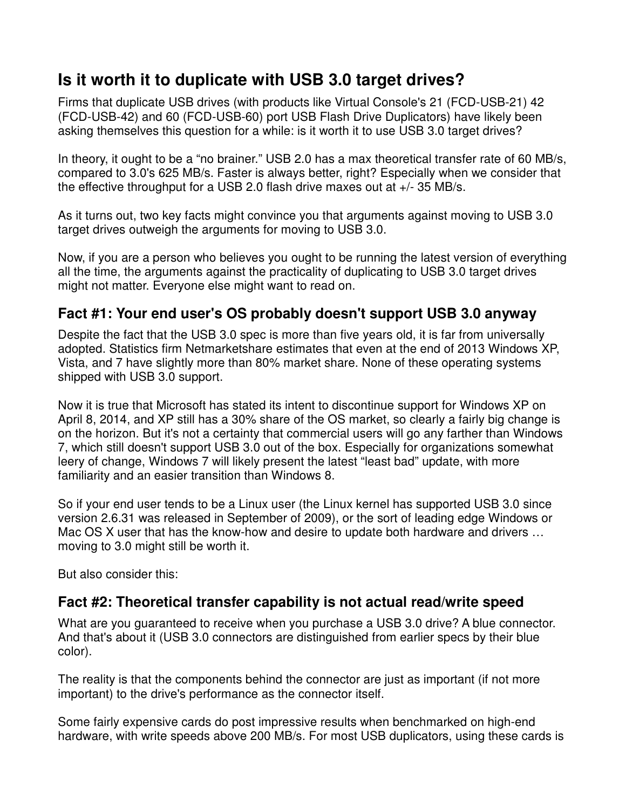## **Is it worth it to duplicate with USB 3.0 target drives?**

Firms that duplicate USB drives (with products like Virtual Console's 21 (FCD-USB-21) 42 (FCD-USB-42) and 60 (FCD-USB-60) port USB Flash Drive Duplicators) have likely been asking themselves this question for a while: is it worth it to use USB 3.0 target drives?

In theory, it ought to be a "no brainer." USB 2.0 has a max theoretical transfer rate of 60 MB/s, compared to 3.0's 625 MB/s. Faster is always better, right? Especially when we consider that the effective throughput for a USB 2.0 flash drive maxes out at +/- 35 MB/s.

As it turns out, two key facts might convince you that arguments against moving to USB 3.0 target drives outweigh the arguments for moving to USB 3.0.

Now, if you are a person who believes you ought to be running the latest version of everything all the time, the arguments against the practicality of duplicating to USB 3.0 target drives might not matter. Everyone else might want to read on.

## **Fact #1: Your end user's OS probably doesn't support USB 3.0 anyway**

Despite the fact that the USB 3.0 spec is more than five years old, it is far from universally adopted. Statistics firm Netmarketshare estimates that even at the end of 2013 Windows XP, Vista, and 7 have slightly more than 80% market share. None of these operating systems shipped with USB 3.0 support.

Now it is true that Microsoft has stated its intent to discontinue support for Windows XP on April 8, 2014, and XP still has a 30% share of the OS market, so clearly a fairly big change is on the horizon. But it's not a certainty that commercial users will go any farther than Windows 7, which still doesn't support USB 3.0 out of the box. Especially for organizations somewhat leery of change, Windows 7 will likely present the latest "least bad" update, with more familiarity and an easier transition than Windows 8.

So if your end user tends to be a Linux user (the Linux kernel has supported USB 3.0 since version 2.6.31 was released in September of 2009), or the sort of leading edge Windows or Mac OS X user that has the know-how and desire to update both hardware and drivers … moving to 3.0 might still be worth it.

But also consider this:

## **Fact #2: Theoretical transfer capability is not actual read/write speed**

What are you guaranteed to receive when you purchase a USB 3.0 drive? A blue connector. And that's about it (USB 3.0 connectors are distinguished from earlier specs by their blue color).

The reality is that the components behind the connector are just as important (if not more important) to the drive's performance as the connector itself.

Some fairly expensive cards do post impressive results when benchmarked on high-end hardware, with write speeds above 200 MB/s. For most USB duplicators, using these cards is